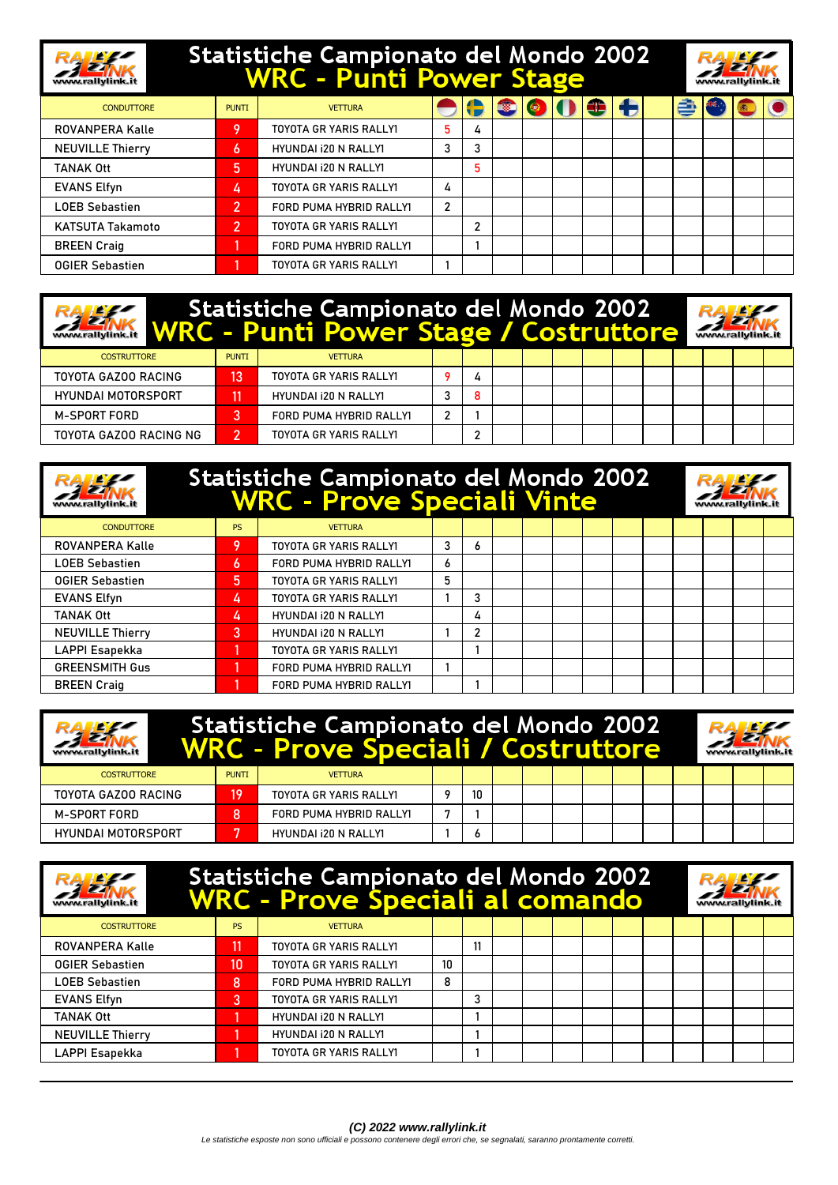## Statistiche Campionato del Mondo 2002<br>WRC - Punti Power Stage



| Statistiche Campionato del Mondo 2002<br><b>WRC - Punti Power Stage / Costruttore</b><br>www.rallylink.it |              |                               |   |   |  |  |  |  |  |  | www.rallylink.it |  |  |  |
|-----------------------------------------------------------------------------------------------------------|--------------|-------------------------------|---|---|--|--|--|--|--|--|------------------|--|--|--|
| <b>COSTRUTTORE</b>                                                                                        | <b>PUNTI</b> | <b>VETTURA</b>                |   |   |  |  |  |  |  |  |                  |  |  |  |
| TOYOTA GAZOO RACING                                                                                       | 13           | <b>TOYOTA GR YARIS RALLY1</b> |   | 4 |  |  |  |  |  |  |                  |  |  |  |
| <b>HYUNDAI MOTORSPORT</b>                                                                                 |              | HYUNDAI 120 N RALLY1          |   | 8 |  |  |  |  |  |  |                  |  |  |  |
| M-SPORT FORD                                                                                              | 3            | FORD PUMA HYBRID RALLY1       | 2 |   |  |  |  |  |  |  |                  |  |  |  |
| TOYOTA GAZOO RACING NG                                                                                    | 2            | TOYOTA GR YARIS RALLYI        |   |   |  |  |  |  |  |  |                  |  |  |  |

|                         | Statistiche Campionato del Mondo 2002<br>WRC - Prove Speciali Vinte |                               |   |   |  |  |  |  |  |  |  |  |  |
|-------------------------|---------------------------------------------------------------------|-------------------------------|---|---|--|--|--|--|--|--|--|--|--|
| <b>CONDUTTORE</b>       | <b>PS</b>                                                           | <b>VETTURA</b>                |   |   |  |  |  |  |  |  |  |  |  |
| ROVANPERA Kalle         | 9                                                                   | <b>TOYOTA GR YARIS RALLY1</b> | 3 | 6 |  |  |  |  |  |  |  |  |  |
| <b>LOEB Sebastien</b>   | 6                                                                   | FORD PUMA HYBRID RALLY1       | 6 |   |  |  |  |  |  |  |  |  |  |
| <b>OGIER Sebastien</b>  | 5                                                                   | <b>TOYOTA GR YARIS RALLY1</b> | 5 |   |  |  |  |  |  |  |  |  |  |
| <b>EVANS Elfyn</b>      | 4                                                                   | <b>TOYOTA GR YARIS RALLY1</b> |   | 3 |  |  |  |  |  |  |  |  |  |
| <b>TANAK Ott</b>        | 4                                                                   | HYUNDAI i20 N RALLY1          |   | 4 |  |  |  |  |  |  |  |  |  |
| <b>NEUVILLE Thierry</b> | 3                                                                   | <b>HYUNDAI 120 N RALLY1</b>   |   | 2 |  |  |  |  |  |  |  |  |  |
| LAPPI Esapekka          |                                                                     | <b>TOYOTA GR YARIS RALLY1</b> |   |   |  |  |  |  |  |  |  |  |  |
| <b>GREENSMITH Gus</b>   |                                                                     | FORD PUMA HYBRID RALLY1       |   |   |  |  |  |  |  |  |  |  |  |
| <b>BREEN Craig</b>      |                                                                     | FORD PUMA HYBRID RALLY1       |   |   |  |  |  |  |  |  |  |  |  |

| www.rallylink.it          |              | Statistiche Campionato del Mondo 2002<br><b>WRC - Prove Speciali / Costruttore</b> |    |  |  |  | www.rallylink.it |  |  |  |
|---------------------------|--------------|------------------------------------------------------------------------------------|----|--|--|--|------------------|--|--|--|
| <b>COSTRUTTORE</b>        | <b>PUNTI</b> | <b>VETTURA</b>                                                                     |    |  |  |  |                  |  |  |  |
| TOYOTA GAZOO RACING       | 19           | TOYOTA GR YARIS RALLY1                                                             | 10 |  |  |  |                  |  |  |  |
| M-SPORT FORD              |              | FORD PUMA HYBRID RALLY1                                                            |    |  |  |  |                  |  |  |  |
| <b>HYUNDAI MOTORSPORT</b> | ь            | HYUNDAI 120 N RALLY1                                                               |    |  |  |  |                  |  |  |  |

|                         | Statistiche Campionato del Mondo 2002<br><b>WRC - Prove Speciali al comando</b> |                               |    |    |  |  |  |  |  |  |  |  |  |  |  |  |
|-------------------------|---------------------------------------------------------------------------------|-------------------------------|----|----|--|--|--|--|--|--|--|--|--|--|--|--|
| <b>COSTRUTTORE</b>      | <b>PS</b>                                                                       | <b>VETTURA</b>                |    |    |  |  |  |  |  |  |  |  |  |  |  |  |
| ROVANPERA Kalle         |                                                                                 | TOYOTA GR YARIS RALLYI        |    | 11 |  |  |  |  |  |  |  |  |  |  |  |  |
| <b>OGIER Sebastien</b>  | 10                                                                              | TOYOTA GR YARIS RALLYI        | 10 |    |  |  |  |  |  |  |  |  |  |  |  |  |
| <b>LOEB Sebastien</b>   | 8                                                                               | FORD PUMA HYBRID RALLY1       | 8  |    |  |  |  |  |  |  |  |  |  |  |  |  |
| <b>EVANS Elfyn</b>      | 3                                                                               | <b>TOYOTA GR YARIS RALLY1</b> |    | 3  |  |  |  |  |  |  |  |  |  |  |  |  |
| <b>TANAK Ott</b>        |                                                                                 | HYUNDAI i20 N RALLY1          |    |    |  |  |  |  |  |  |  |  |  |  |  |  |
| <b>NEUVILLE Thierry</b> |                                                                                 | HYUNDAI i20 N RALLY1          |    |    |  |  |  |  |  |  |  |  |  |  |  |  |
| LAPPI Esapekka          |                                                                                 | <b>TOYOTA GR YARIS RALLY1</b> |    |    |  |  |  |  |  |  |  |  |  |  |  |  |